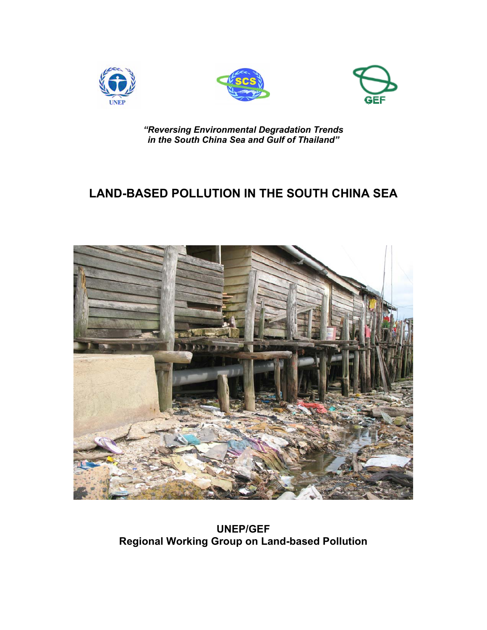





*"Reversing Environmental Degradation Trends in the South China Sea and Gulf of Thailand"*

# **LAND-BASED POLLUTION IN THE SOUTH CHINA SEA**



**UNEP/GEF Regional Working Group on Land-based Pollution**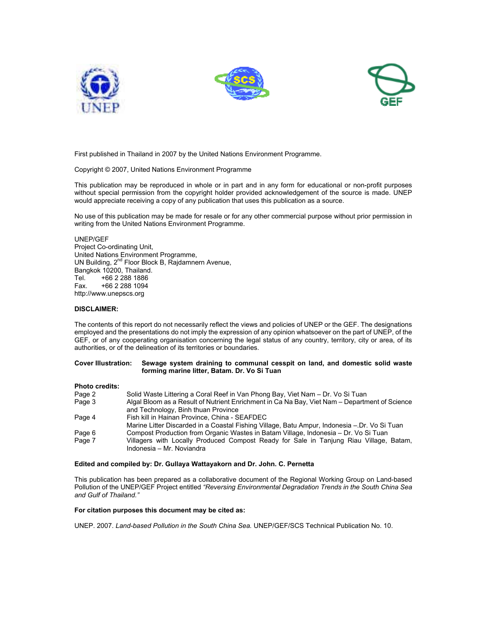





First published in Thailand in 2007 by the United Nations Environment Programme.

Copyright © 2007, United Nations Environment Programme

This publication may be reproduced in whole or in part and in any form for educational or non-profit purposes without special permission from the copyright holder provided acknowledgement of the source is made. UNEP would appreciate receiving a copy of any publication that uses this publication as a source.

No use of this publication may be made for resale or for any other commercial purpose without prior permission in writing from the United Nations Environment Programme.

UNEP/GEF Project Co-ordinating Unit, United Nations Environment Programme, UN Building, 2<sup>nd</sup> Floor Block B, Rajdamnern Avenue, Bangkok 10200, Thailand. Tel. +66 2 288 1886 Fax. +66 2 288 1094 http://www.unepscs.org

# **DISCLAIMER:**

The contents of this report do not necessarily reflect the views and policies of UNEP or the GEF. The designations employed and the presentations do not imply the expression of any opinion whatsoever on the part of UNEP, of the GEF, or of any cooperating organisation concerning the legal status of any country, territory, city or area, of its authorities, or of the delineation of its territories or boundaries.

## **Cover Illustration: Sewage system draining to communal cesspit on land, and domestic solid waste forming marine litter, Batam. Dr. Vo Si Tuan**

#### **Photo credits:**

| Page 2 | Solid Waste Littering a Coral Reef in Van Phong Bay, Viet Nam – Dr. Vo Si Tuan                |
|--------|-----------------------------------------------------------------------------------------------|
| Page 3 | Algal Bloom as a Result of Nutrient Enrichment in Ca Na Bay, Viet Nam – Department of Science |
|        | and Technology, Binh thuan Province                                                           |
| Page 4 | Fish kill in Hainan Province, China - SEAFDEC                                                 |
|        | Marine Litter Discarded in a Coastal Fishing Village, Batu Ampur, Indonesia – Dr. Vo Si Tuan  |
| Page 6 | Compost Production from Organic Wastes in Batam Village, Indonesia – Dr. Vo Si Tuan           |
| Page 7 | Villagers with Locally Produced Compost Ready for Sale in Tanjung Riau Village, Batam,        |
|        | Indonesia - Mr. Noviandra                                                                     |

### **Edited and compiled by: Dr. Gullaya Wattayakorn and Dr. John. C. Pernetta**

This publication has been prepared as a collaborative document of the Regional Working Group on Land-based Pollution of the UNEP/GEF Project entitled *"Reversing Environmental Degradation Trends in the South China Sea and Gulf of Thailand."*

# **For citation purposes this document may be cited as:**

UNEP. 2007. *Land-based Pollution in the South China Sea.* UNEP/GEF/SCS Technical Publication No. 10.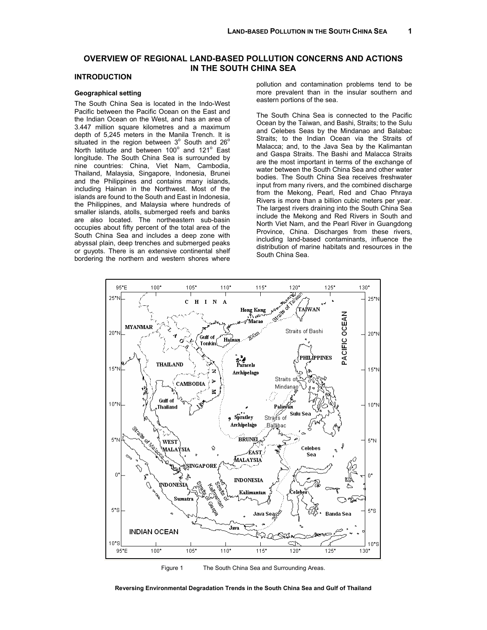# **OVERVIEW OF REGIONAL LAND-BASED POLLUTION CONCERNS AND ACTIONS IN THE SOUTH CHINA SEA**

# **INTRODUCTION**

# **Geographical setting**

The South China Sea is located in the Indo-West Pacific between the Pacific Ocean on the East and the Indian Ocean on the West, and has an area of 3.447 million square kilometres and a maximum depth of 5,245 meters in the Manila Trench. It is situated in the region between  $3^{\circ}$  South and 26 $^{\circ}$ North latitude and between  $100^\circ$  and  $121^\circ$  East longitude. The South China Sea is surrounded by nine countries: China, Viet Nam, Cambodia, Thailand, Malaysia, Singapore, Indonesia, Brunei and the Philippines and contains many islands, including Hainan in the Northwest. Most of the islands are found to the South and East in Indonesia, the Philippines, and Malaysia where hundreds of smaller islands, atolls, submerged reefs and banks are also located. The northeastern sub-basin occupies about fifty percent of the total area of the South China Sea and includes a deep zone with abyssal plain, deep trenches and submerged peaks or guyots. There is an extensive continental shelf bordering the northern and western shores where pollution and contamination problems tend to be more prevalent than in the insular southern and eastern portions of the sea.

The South China Sea is connected to the Pacific Ocean by the Taiwan, and Bashi, Straits; to the Sulu and Celebes Seas by the Mindanao and Balabac Straits; to the Indian Ocean via the Straits of Malacca; and, to the Java Sea by the Kalimantan and Gaspa Straits. The Bashi and Malacca Straits are the most important in terms of the exchange of water between the South China Sea and other water bodies. The South China Sea receives freshwater input from many rivers, and the combined discharge from the Mekong, Pearl, Red and Chao Phraya Rivers is more than a billion cubic meters per year. The largest rivers draining into the South China Sea include the Mekong and Red Rivers in South and North Viet Nam, and the Pearl River in Guangdong Province, China. Discharges from these rivers, including land-based contaminants, influence the distribution of marine habitats and resources in the South China Sea.



Figure 1 The South China Sea and Surrounding Areas.

**Reversing Environmental Degradation Trends in the South China Sea and Gulf of Thailand**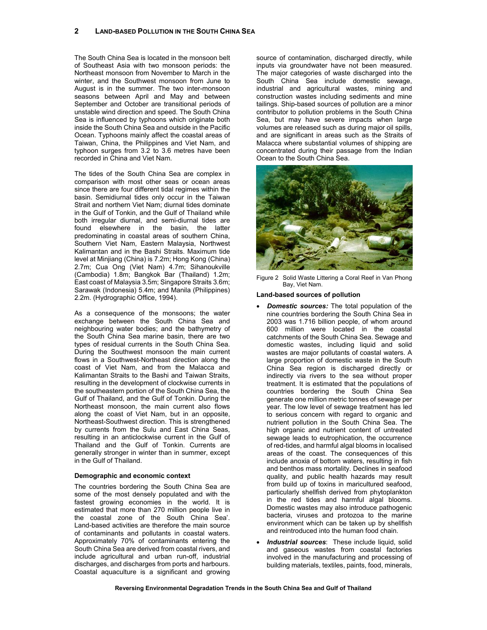The South China Sea is located in the monsoon belt of Southeast Asia with two monsoon periods: the Northeast monsoon from November to March in the winter, and the Southwest monsoon from June to August is in the summer. The two inter-monsoon seasons between April and May and between September and October are transitional periods of unstable wind direction and speed. The South China Sea is influenced by typhoons which originate both inside the South China Sea and outside in the Pacific Ocean. Typhoons mainly affect the coastal areas of Taiwan, China, the Philippines and Viet Nam, and typhoon surges from 3.2 to 3.6 metres have been recorded in China and Viet Nam.

The tides of the South China Sea are complex in comparison with most other seas or ocean areas since there are four different tidal regimes within the basin. Semidiurnal tides only occur in the Taiwan Strait and northern Viet Nam; diurnal tides dominate in the Gulf of Tonkin, and the Gulf of Thailand while both irregular diurnal, and semi-diurnal tides are found elsewhere in the basin, the latter predominating in coastal areas of southern China, Southern Viet Nam, Eastern Malaysia, Northwest Kalimantan and in the Bashi Straits. Maximum tide level at Minjiang (China) is 7.2m; Hong Kong (China) 2.7m; Cua Ong (Viet Nam) 4.7m; Sihanoukville (Cambodia) 1.8m; Bangkok Bar (Thailand) 1.2m; East coast of Malaysia 3.5m; Singapore Straits 3.6m; Sarawak (Indonesia) 5.4m; and Manila (Philippines) 2.2m. (Hydrographic Office, 1994).

As a consequence of the monsoons; the water exchange between the South China Sea and neighbouring water bodies; and the bathymetry of the South China Sea marine basin, there are two types of residual currents in the South China Sea. During the Southwest monsoon the main current flows in a Southwest-Northeast direction along the coast of Viet Nam, and from the Malacca and Kalimantan Straits to the Bashi and Taiwan Straits, resulting in the development of clockwise currents in the southeastern portion of the South China Sea, the Gulf of Thailand, and the Gulf of Tonkin. During the Northeast monsoon, the main current also flows along the coast of Viet Nam, but in an opposite, Northeast-Southwest direction. This is strengthened by currents from the Sulu and East China Seas, resulting in an anticlockwise current in the Gulf of Thailand and the Gulf of Tonkin. Currents are generally stronger in winter than in summer, except in the Gulf of Thailand.

#### **Demographic and economic context**

The countries bordering the South China Sea are some of the most densely populated and with the fastest growing economies in the world. It is estimated that more than 270 million people live in the coastal zone of the South China Sea'. Land-based activities are therefore the main source of contaminants and pollutants in coastal waters. Approximately 70% of contaminants entering the South China Sea are derived from coastal rivers, and include agricultural and urban run-off, industrial discharges, and discharges from ports and harbours. Coastal aquaculture is a significant and growing source of contamination, discharged directly, while inputs via groundwater have not been measured. The major categories of waste discharged into the South China Sea include domestic sewage, industrial and agricultural wastes, mining and construction wastes including sediments and mine tailings. Ship-based sources of pollution are a minor contributor to pollution problems in the South China Sea, but may have severe impacts when large volumes are released such as during major oil spills, and are significant in areas such as the Straits of Malacca where substantial volumes of shipping are concentrated during their passage from the Indian Ocean to the South China Sea.



Figure 2 Solid Waste Littering a Coral Reef in Van Phong Bay, Viet Nam.

#### **Land-based sources of pollution**

- *Domestic sources:* The total population of the nine countries bordering the South China Sea in 2003 was 1.716 billion people, of whom around 600 million were located in the coastal catchments of the South China Sea. Sewage and domestic wastes, including liquid and solid wastes are major pollutants of coastal waters. A large proportion of domestic waste in the South China Sea region is discharged directly or indirectly via rivers to the sea without proper treatment. It is estimated that the populations of countries bordering the South China Sea generate one million metric tonnes of sewage per year. The low level of sewage treatment has led to serious concern with regard to organic and nutrient pollution in the South China Sea. The high organic and nutrient content of untreated sewage leads to eutrophication, the occurrence of red-tides, and harmful algal blooms in localised areas of the coast. The consequences of this include anoxia of bottom waters, resulting in fish and benthos mass mortality. Declines in seafood quality, and public health hazards may result from build up of toxins in maricultured seafood, particularly shellfish derived from phytoplankton in the red tides and harmful algal blooms. Domestic wastes may also introduce pathogenic bacteria, viruses and protozoa to the marine environment which can be taken up by shellfish and reintroduced into the human food chain.
- **Industrial sources:** These include liquid, solid and gaseous wastes from coastal factories involved in the manufacturing and processing of building materials, textiles, paints, food, minerals,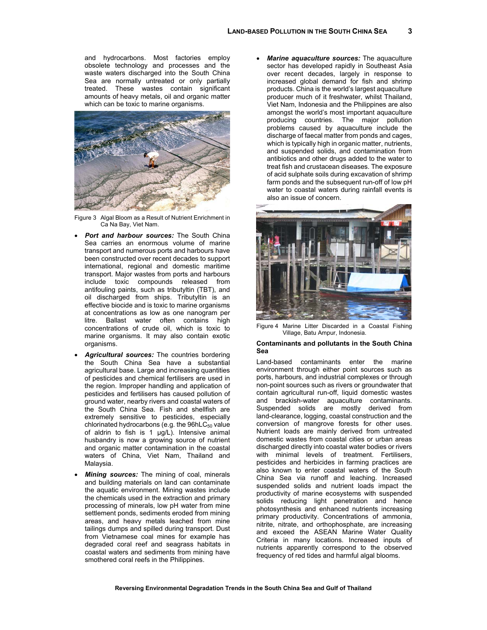and hydrocarbons. Most factories employ obsolete technology and processes and the waste waters discharged into the South China Sea are normally untreated or only partially treated. These wastes contain significant amounts of heavy metals, oil and organic matter which can be toxic to marine organisms.



Figure 3 Algal Bloom as a Result of Nutrient Enrichment in Ca Na Bay, Viet Nam.

- *Port and harbour sources:* The South China Sea carries an enormous volume of marine transport and numerous ports and harbours have been constructed over recent decades to support international, regional and domestic maritime transport. Major wastes from ports and harbours include toxic compounds released from antifouling paints, such as tributyltin (TBT), and oil discharged from ships. Tributyltin is an effective biocide and is toxic to marine organisms at concentrations as low as one nanogram per litre. Ballast water often contains high concentrations of crude oil, which is toxic to marine organisms. It may also contain exotic organisms
- *Agricultural sources:* The countries bordering the South China Sea have a substantial agricultural base. Large and increasing quantities of pesticides and chemical fertilisers are used in the region. Improper handling and application of pesticides and fertilisers has caused pollution of ground water, nearby rivers and coastal waters of the South China Sea. Fish and shellfish are extremely sensitive to pesticides, especially chlorinated hydrocarbons (e.g. the  $96hC_{50}$  value of aldrin to fish is 1  $\mu$ g/L). Intensive animal husbandry is now a growing source of nutrient and organic matter contamination in the coastal waters of China, Viet Nam, Thailand and Malaysia.
- **Mining sources:** The mining of coal, minerals and building materials on land can contaminate the aquatic environment. Mining wastes include the chemicals used in the extraction and primary processing of minerals, low pH water from mine settlement ponds, sediments eroded from mining areas, and heavy metals leached from mine tailings dumps and spilled during transport. Dust from Vietnamese coal mines for example has degraded coral reef and seagrass habitats in coastal waters and sediments from mining have smothered coral reefs in the Philippines.

• *Marine aquaculture sources:* The aquaculture sector has developed rapidly in Southeast Asia over recent decades, largely in response to increased global demand for fish and shrimp products. China is the world's largest aquaculture producer much of it freshwater, whilst Thailand, Viet Nam, Indonesia and the Philippines are also amongst the world's most important aquaculture producing countries. The major pollution problems caused by aquaculture include the discharge of faecal matter from ponds and cages, which is typically high in organic matter, nutrients, and suspended solids, and contamination from antibiotics and other drugs added to the water to treat fish and crustacean diseases. The exposure of acid sulphate soils during excavation of shrimp farm ponds and the subsequent run-off of low pH water to coastal waters during rainfall events is also an issue of concern.



Figure 4 Marine Litter Discarded in a Coastal Fishing Village, Batu Ampur, Indonesia.

### **Contaminants and pollutants in the South China Sea**

Land-based contaminants enter the marine environment through either point sources such as ports, harbours, and industrial complexes or through non-point sources such as rivers or groundwater that contain agricultural run-off, liquid domestic wastes and brackish-water aquaculture contaminants. Suspended solids are mostly derived from land-clearance, logging, coastal construction and the conversion of mangrove forests for other uses. Nutrient loads are mainly derived from untreated domestic wastes from coastal cities or urban areas discharged directly into coastal water bodies or rivers with minimal levels of treatment. Fertilisers, pesticides and herbicides in farming practices are also known to enter coastal waters of the South China Sea via runoff and leaching. Increased suspended solids and nutrient loads impact the productivity of marine ecosystems with suspended solids reducing light penetration and hence photosynthesis and enhanced nutrients increasing primary productivity. Concentrations of ammonia, nitrite, nitrate, and orthophosphate, are increasing and exceed the ASEAN Marine Water Quality Criteria in many locations. Increased inputs of nutrients apparently correspond to the observed frequency of red tides and harmful algal blooms.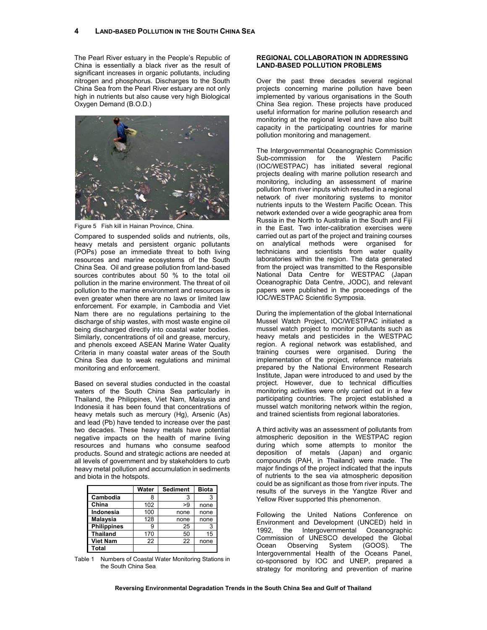The Pearl River estuary in the People's Republic of China is essentially a black river as the result of significant increases in organic pollutants, including nitrogen and phosphorus. Discharges to the South China Sea from the Pearl River estuary are not only high in nutrients but also cause very high Biological Oxygen Demand (B.O.D.)



Figure 5 Fish kill in Hainan Province, China.

Compared to suspended solids and nutrients, oils, heavy metals and persistent organic pollutants (POPs) pose an immediate threat to both living resources and marine ecosystems of the South China Sea. Oil and grease pollution from land-based sources contributes about 50 % to the total oil pollution in the marine environment. The threat of oil pollution to the marine environment and resources is even greater when there are no laws or limited law enforcement. For example, in Cambodia and Viet Nam there are no regulations pertaining to the discharge of ship wastes, with most waste engine oil being discharged directly into coastal water bodies. Similarly, concentrations of oil and grease, mercury, and phenols exceed ASEAN Marine Water Quality Criteria in many coastal water areas of the South China Sea due to weak regulations and minimal monitoring and enforcement.

Based on several studies conducted in the coastal waters of the South China Sea particularly in Thailand, the Philippines, Viet Nam, Malaysia and Indonesia it has been found that concentrations of heavy metals such as mercury (Hg), Arsenic (As) and lead (Pb) have tended to increase over the past two decades. These heavy metals have potential negative impacts on the health of marine living resources and humans who consume seafood products. Sound and strategic actions are needed at all levels of government and by stakeholders to curb heavy metal pollution and accumulation in sediments and biota in the hotspots.

|                    | Water | <b>Sediment</b> | <b>Biota</b> |
|--------------------|-------|-----------------|--------------|
| Cambodia           |       |                 | 3            |
| China              | 102   | >9              | none         |
| Indonesia          | 100   | none            | none         |
| <b>Malaysia</b>    | 128   | none            | none         |
| <b>Philippines</b> |       | 25              | 3            |
| <b>Thailand</b>    | 170   | 50              | 15           |
| <b>Viet Nam</b>    | 22    | 22              | none         |
| Total              |       |                 |              |

Table 1 Numbers of Coastal Water Monitoring Stations in the South China Sea.

# **REGIONAL COLLABORATION IN ADDRESSING LAND-BASED POLLUTION PROBLEMS**

Over the past three decades several regional projects concerning marine pollution have been implemented by various organisations in the South China Sea region. These projects have produced useful information for marine pollution research and monitoring at the regional level and have also built capacity in the participating countries for marine pollution monitoring and management.

The Intergovernmental Oceanographic Commission Sub-commission for the Western Pacific (IOC/WESTPAC) has initiated several regional projects dealing with marine pollution research and monitoring, including an assessment of marine pollution from river inputs which resulted in a regional network of river monitoring systems to monitor nutrients inputs to the Western Pacific Ocean. This network extended over a wide geographic area from Russia in the North to Australia in the South and Fiji in the East. Two inter-calibration exercises were carried out as part of the project and training courses on analytical methods were organised for technicians and scientists from water quality laboratories within the region. The data generated from the project was transmitted to the Responsible National Data Centre for WESTPAC (Japan Oceanographic Data Centre, JODC), and relevant papers were published in the proceedings of the IOC/WESTPAC Scientific Symposia.

During the implementation of the global International Mussel Watch Project, IOC/WESTPAC initiated a mussel watch project to monitor pollutants such as heavy metals and pesticides in the WESTPAC region. A regional network was established, and training courses were organised. During the implementation of the project, reference materials prepared by the National Environment Research Institute, Japan were introduced to and used by the project. However, due to technical difficulties monitoring activities were only carried out in a few participating countries. The project established a mussel watch monitoring network within the region, and trained scientists from regional laboratories.

A third activity was an assessment of pollutants from atmospheric deposition in the WESTPAC region during which some attempts to monitor the deposition of metals (Japan) and organic compounds (PAH, in Thailand) were made. The major findings of the project indicated that the inputs of nutrients to the sea via atmospheric deposition could be as significant as those from river inputs. The results of the surveys in the Yangtze River and Yellow River supported this phenomenon.

Following the United Nations Conference on Environment and Development (UNCED) held in 1992, the Intergovernmental Oceanographic Commission of UNESCO developed the Global Ocean Observing System (GOOS). The Intergovernmental Health of the Oceans Panel, co-sponsored by IOC and UNEP, prepared a strategy for monitoring and prevention of marine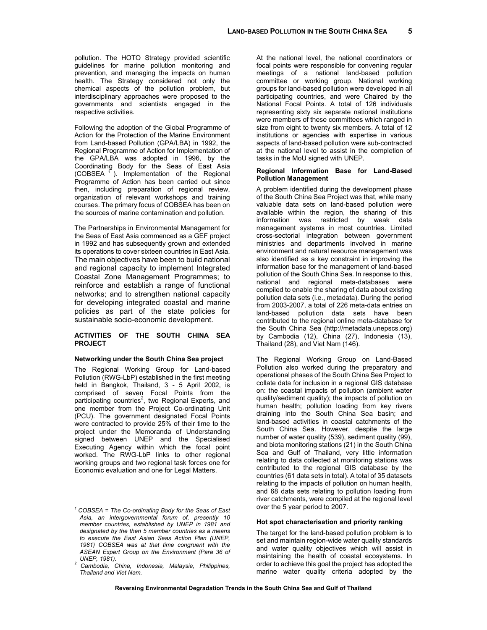pollution. The HOTO Strategy provided scientific guidelines for marine pollution monitoring and prevention, and managing the impacts on human health. The Strategy considered not only the chemical aspects of the pollution problem, but interdisciplinary approaches were proposed to the governments and scientists engaged in the respective activities.

Following the adoption of the Global Programme of Action for the Protection of the Marine Environment from Land-based Pollution (GPA/LBA) in 1992, the Regional Programme of Action for Implementation of the GPA/LBA was adopted in 1996, by the Coordinating Body for the Seas of East Asia (COBSEA  $<sup>1</sup>$ ). Implementation of the Regional</sup> Programme of Action has been carried out since then, including preparation of regional review, organization of relevant workshops and training courses. The primary focus of COBSEA has been on the sources of marine contamination and pollution.

The Partnerships in Environmental Management for the Seas of East Asia commenced as a GEF project in 1992 and has subsequently grown and extended its operations to cover sixteen countries in East Asia. The main objectives have been to build national and regional capacity to implement Integrated Coastal Zone Management Programmes; to reinforce and establish a range of functional networks; and to strengthen national capacity for developing integrated coastal and marine policies as part of the state policies for sustainable socio-economic development.

# **ACTIVITIES OF THE SOUTH CHINA SEA PROJECT**

# **Networking under the South China Sea project**

The Regional Working Group for Land-based Pollution (RWG-LbP) established in the first meeting held in Bangkok, Thailand, 3 - 5 April 2002, is comprised of seven Focal Points from the participating countries<sup>2</sup>, two Regional Experts, and one member from the Project Co-ordinating Unit (PCU). The government designated Focal Points were contracted to provide 25% of their time to the project under the Memoranda of Understanding signed between UNEP and the Specialised Executing Agency within which the focal point worked. The RWG-LbP links to other regional working groups and two regional task forces one for Economic evaluation and one for Legal Matters.

 $\overline{a}$ 

At the national level, the national coordinators or focal points were responsible for convening regular meetings of a national land-based pollution committee or working group. National working groups for land-based pollution were developed in all participating countries, and were Chaired by the National Focal Points. A total of 126 individuals representing sixty six separate national institutions were members of these committees which ranged in size from eight to twenty six members. A total of 12 institutions or agencies with expertise in various aspects of land-based pollution were sub-contracted at the national level to assist in the completion of tasks in the MoU signed with UNEP.

#### **Regional Information Base for Land-Based Pollution Management**

A problem identified during the development phase of the South China Sea Project was that, while many valuable data sets on land-based pollution were available within the region, the sharing of this information was restricted by weak data management systems in most countries. Limited cross-sectorial integration between government ministries and departments involved in marine environment and natural resource management was also identified as a key constraint in improving the information base for the management of land-based pollution of the South China Sea. In response to this, national and regional meta-databases were compiled to enable the sharing of data about existing pollution data sets (i.e., metadata). During the period from 2003-2007, a total of 226 meta-data entries on land-based pollution data sets have been contributed to the regional online meta-database for the South China Sea (http://metadata.unepscs.org) by Cambodia (12), China (27), Indonesia (13), Thailand (28), and Viet Nam (146).

The Regional Working Group on Land-Based Pollution also worked during the preparatory and operational phases of the South China Sea Project to collate data for inclusion in a regional GIS database on: the coastal impacts of pollution (ambient water quality/sediment quality); the impacts of pollution on human health; pollution loading from key rivers draining into the South China Sea basin; and land-based activities in coastal catchments of the South China Sea. However, despite the large number of water quality (539), sediment quality (99), and biota monitoring stations (21) in the South China Sea and Gulf of Thailand, very little information relating to data collected at monitoring stations was contributed to the regional GIS database by the countries (61 data sets in total). A total of 35 datasets relating to the impacts of pollution on human health, and 68 data sets relating to pollution loading from river catchments, were compiled at the regional level over the 5 year period to 2007.

#### **Hot spot characterisation and priority ranking**

The target for the land-based pollution problem is to set and maintain region-wide water quality standards and water quality objectives which will assist in maintaining the health of coastal ecosystems. In order to achieve this goal the project has adopted the marine water quality criteria adopted by the

*<sup>1</sup> COBSEA = The Co-ordinating Body for the Seas of East Asia, an intergovernmental forum of, presently 10 member countries, established by UNEP in 1981 and designated by the then 5 member countries as a means to execute the East Asian Seas Action Plan (UNEP, 1981) COBSEA was at that time congruent with the ASEAN Expert Group on the Environment (Para 36 of* 

*UNEP, 1981). 2 Cambodia, China, Indonesia, Malaysia, Philippines, Thailand and Viet Nam.*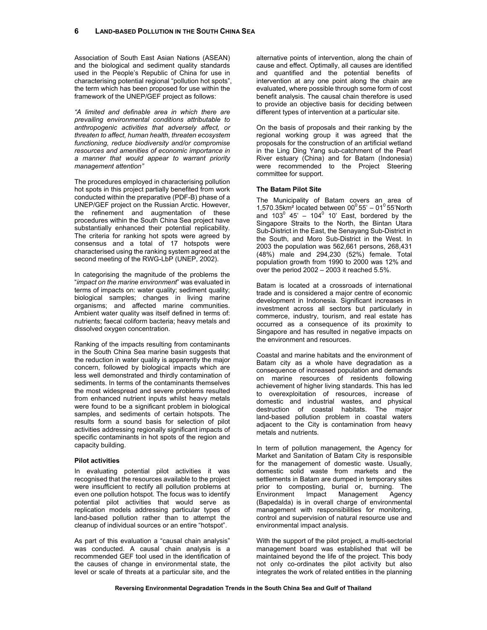Association of South East Asian Nations (ASEAN) and the biological and sediment quality standards used in the People's Republic of China for use in characterising potential regional "pollution hot spots", the term which has been proposed for use within the framework of the UNEP/GEF project as follows:

*"A limited and definable area in which there are prevailing environmental conditions attributable to anthropogenic activities that adversely affect, or threaten to affect, human health, threaten ecosystem functioning, reduce biodiversity and/or compromise resources and amenities of economic importance in a manner that would appear to warrant priority management attention"* 

The procedures employed in characterising pollution hot spots in this project partially benefited from work conducted within the preparative (PDF-B) phase of a UNEP/GEF project on the Russian Arctic. However, the refinement and augmentation of these procedures within the South China Sea project have substantially enhanced their potential replicability. The criteria for ranking hot spots were agreed by consensus and a total of 17 hotspots were characterised using the ranking system agreed at the second meeting of the RWG-LbP (UNEP, 2002).

In categorising the magnitude of the problems the "*impact on the marine environment*" was evaluated in terms of impacts on: water quality; sediment quality; biological samples; changes in living marine organisms; and affected marine communities. Ambient water quality was itself defined in terms of: nutrients; faecal coliform bacteria; heavy metals and dissolved oxygen concentration.

Ranking of the impacts resulting from contaminants in the South China Sea marine basin suggests that the reduction in water quality is apparently the major concern, followed by biological impacts which are less well demonstrated and thirdly contamination of sediments. In terms of the contaminants themselves the most widespread and severe problems resulted from enhanced nutrient inputs whilst heavy metals were found to be a significant problem in biological samples, and sediments of certain hotspots. The results form a sound basis for selection of pilot activities addressing regionally significant impacts of specific contaminants in hot spots of the region and capacity building.

#### **Pilot activities**

In evaluating potential pilot activities it was recognised that the resources available to the project were insufficient to rectify all pollution problems at even one pollution hotspot. The focus was to identify potential pilot activities that would serve as replication models addressing particular types of land-based pollution rather than to attempt the cleanup of individual sources or an entire "hotspot".

As part of this evaluation a "causal chain analysis" was conducted. A causal chain analysis is a recommended GEF tool used in the identification of the causes of change in environmental state, the level or scale of threats at a particular site, and the alternative points of intervention, along the chain of cause and effect. Optimally, all causes are identified and quantified and the potential benefits of intervention at any one point along the chain are evaluated, where possible through some form of cost benefit analysis. The causal chain therefore is used to provide an objective basis for deciding between different types of intervention at a particular site.

On the basis of proposals and their ranking by the regional working group it was agreed that the proposals for the construction of an artificial wetland in the Ling Ding Yang sub-catchment of the Pearl River estuary (China) and for Batam (Indonesia) were recommended to the Project Steering committee for support.

## **The Batam Pilot Site**

The Municipality of Batam covers an area of 1,570.35km<sup>2</sup> located between  $00^{\circ}$  55' – 01<sup>0</sup> 55'North and 103 $^0$  45' - 104 $^0$  10' East, bordered by the Singapore Straits to the North, the Bintan Utara Sub-District in the East, the Senayang Sub-District in the South, and Moro Sub-District in the West. In 2003 the population was 562,661 persons, 268,431 (48%) male and 294,230 (52%) female. Total population growth from 1990 to 2000 was 12% and over the period  $2002 - 2003$  it reached  $5.5\%$ .

Batam is located at a crossroads of international trade and is considered a major centre of economic development in Indonesia. Significant increases in investment across all sectors but particularly in commerce, industry, tourism, and real estate has occurred as a consequence of its proximity to Singapore and has resulted in negative impacts on the environment and resources.

Coastal and marine habitats and the environment of Batam city as a whole have degradation as a consequence of increased population and demands on marine resources of residents following achievement of higher living standards. This has led to overexploitation of resources, increase of domestic and industrial wastes, and physical destruction of coastal habitats. The major land-based pollution problem in coastal waters adjacent to the City is contamination from heavy metals and nutrients.

In term of pollution management, the Agency for Market and Sanitation of Batam City is responsible for the management of domestic waste. Usually, domestic solid waste from markets and the settlements in Batam are dumped in temporary sites prior to composting, burial or, burning. The Environment Impact Management Agency (Bapedalda) is in overall charge of environmental management with responsibilities for monitoring, control and supervision of natural resource use and environmental impact analysis.

With the support of the pilot project, a multi-sectorial management board was established that will be maintained beyond the life of the project. This body not only co-ordinates the pilot activity but also integrates the work of related entities in the planning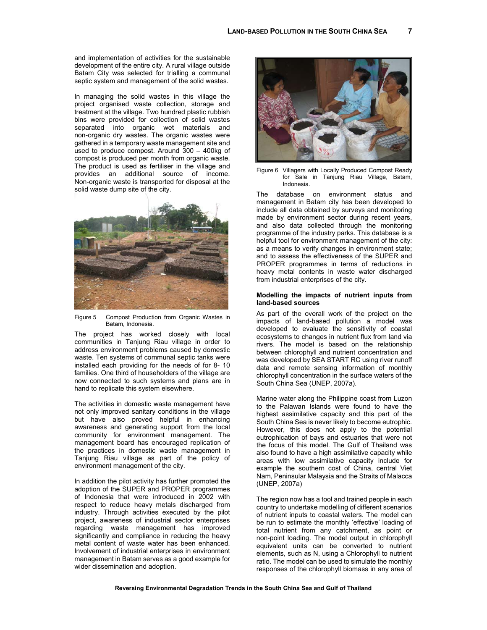and implementation of activities for the sustainable development of the entire city. A rural village outside Batam City was selected for trialling a communal septic system and management of the solid wastes.

In managing the solid wastes in this village the project organised waste collection, storage and treatment at the village. Two hundred plastic rubbish bins were provided for collection of solid wastes separated into organic wet materials and non-organic dry wastes. The organic wastes were gathered in a temporary waste management site and used to produce compost. Around 300 – 400kg of compost is produced per month from organic waste. The product is used as fertiliser in the village and provides an additional source of income. Non-organic waste is transported for disposal at the solid waste dump site of the city.



Figure 5 Compost Production from Organic Wastes in Batam, Indonesia.

The project has worked closely with local communities in Tanjung Riau village in order to address environment problems caused by domestic waste. Ten systems of communal septic tanks were installed each providing for the needs of for 8- 10 families. One third of householders of the village are now connected to such systems and plans are in hand to replicate this system elsewhere.

The activities in domestic waste management have not only improved sanitary conditions in the village but have also proved helpful in enhancing awareness and generating support from the local community for environment management. The management board has encouraged replication of the practices in domestic waste management in Tanjung Riau village as part of the policy of environment management of the city.

In addition the pilot activity has further promoted the adoption of the SUPER and PROPER programmes of Indonesia that were introduced in 2002 with respect to reduce heavy metals discharged from industry. Through activities executed by the pilot project, awareness of industrial sector enterprises regarding waste management has improved significantly and compliance in reducing the heavy metal content of waste water has been enhanced. Involvement of industrial enterprises in environment management in Batam serves as a good example for wider dissemination and adoption.



Figure 6 Villagers with Locally Produced Compost Ready for Sale in Tanjung Riau Village, Batam, Indonesia.

The database on environment status and management in Batam city has been developed to include all data obtained by surveys and monitoring made by environment sector during recent years, and also data collected through the monitoring programme of the industry parks. This database is a helpful tool for environment management of the city: as a means to verify changes in environment state; and to assess the effectiveness of the SUPER and PROPER programmes in terms of reductions in heavy metal contents in waste water discharged from industrial enterprises of the city.

## **Modelling the impacts of nutrient inputs from land-based sources**

As part of the overall work of the project on the impacts of land-based pollution a model was developed to evaluate the sensitivity of coastal ecosystems to changes in nutrient flux from land via rivers. The model is based on the relationship between chlorophyll and nutrient concentration and was developed by SEA START RC using river runoff data and remote sensing information of monthly chlorophyll concentration in the surface waters of the South China Sea (UNEP, 2007a).

Marine water along the Philippine coast from Luzon to the Palawan Islands were found to have the highest assimilative capacity and this part of the South China Sea is never likely to become eutrophic. However, this does not apply to the potential eutrophication of bays and estuaries that were not the focus of this model. The Gulf of Thailand was also found to have a high assimilative capacity while areas with low assimilative capacity include for example the southern cost of China, central Viet Nam, Peninsular Malaysia and the Straits of Malacca (UNEP, 2007a)

The region now has a tool and trained people in each country to undertake modelling of different scenarios of nutrient inputs to coastal waters. The model can be run to estimate the monthly 'effective' loading of total nutrient from any catchment, as point or non-point loading. The model output in chlorophyll equivalent units can be converted to nutrient elements, such as N, using a Chlorophyll to nutrient ratio. The model can be used to simulate the monthly responses of the chlorophyll biomass in any area of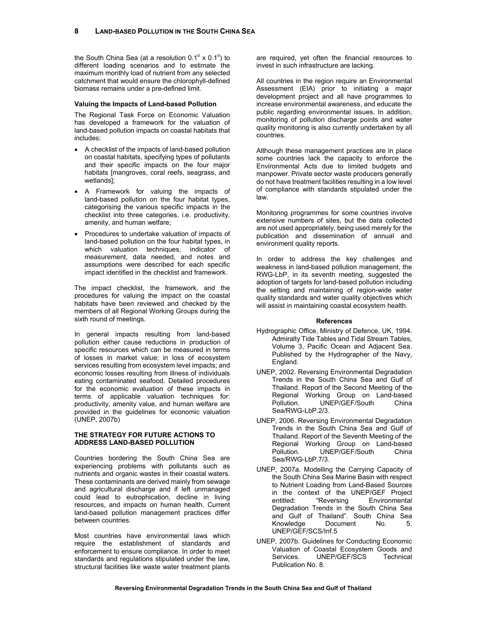the South China Sea (at a resolution  $0.1^\circ \times 0.1^\circ$ ) to different loading scenarios and to estimate the maximum monthly load of nutrient from any selected catchment that would ensure the chlorophyll-defined biomass remains under a pre-defined limit.

#### **Valuing the Impacts of Land-based Pollution**

The Regional Task Force on Economic Valuation has developed a framework for the valuation of land-based pollution impacts on coastal habitats that includes:

- A checklist of the impacts of land-based pollution on coastal habitats, specifying types of pollutants and their specific impacts on the four major habitats [mangroves, coral reefs, seagrass, and wetlands];
- A Framework for valuing the impacts of land-based pollution on the four habitat types, categorising the various specific impacts in the checklist into three categories, i.e. productivity, amenity, and human welfare;
- Procedures to undertake valuation of impacts of land-based pollution on the four habitat types, in which valuation techniques, indicator of measurement, data needed, and notes and assumptions were described for each specific impact identified in the checklist and framework.

The impact checklist, the framework, and the procedures for valuing the impact on the coastal habitats have been reviewed and checked by the members of all Regional Working Groups during the sixth round of meetings.

In general impacts resulting from land-based pollution either cause reductions in production of specific resources which can be measured in terms of losses in market value; in loss of ecosystem services resulting from ecosystem level impacts; and economic losses resulting from illness of individuals eating contaminated seafood. Detailed procedures for the economic evaluation of these impacts in terms of applicable valuation techniques for: productivity, amenity value, and human welfare are provided in the guidelines for economic valuation (UNEP, 2007b)

#### **THE STRATEGY FOR FUTURE ACTIONS TO ADDRESS LAND-BASED POLLUTION**

Countries bordering the South China Sea are experiencing problems with pollutants such as nutrients and organic wastes in their coastal waters. These contaminants are derived mainly from sewage and agricultural discharge and if left unmanaged could lead to eutrophication, decline in living resources, and impacts on human health. Current land-based pollution management practices differ between countries.

Most countries have environmental laws which require the establishment of standards and enforcement to ensure compliance. In order to meet standards and regulations stipulated under the law, structural facilities like waste water treatment plants

are required, yet often the financial resources to invest in such infrastructure are lacking.

All countries in the region require an Environmental Assessment (EIA) prior to initiating a major development project and all have programmes to increase environmental awareness, and educate the public regarding environmental issues. In addition, monitoring of pollution discharge points and water quality monitoring is also currently undertaken by all countries.

Although these management practices are in place some countries lack the capacity to enforce the Environmental Acts due to limited budgets and manpower. Private sector waste producers generally do not have treatment facilities resulting in a low level of compliance with standards stipulated under the law.

Monitoring programmes for some countries involve extensive numbers of sites, but the data collected are not used appropriately, being used merely for the publication and dissemination of annual and environment quality reports.

In order to address the key challenges and weakness in land-based pollution management, the RWG-LbP, in its seventh meeting, suggested the adoption of targets for land-based pollution including the setting and maintaining of region-wide water quality standards and water quality objectives which will assist in maintaining coastal ecosystem health.

#### **References**

- Hydrographic Office, Ministry of Defence, UK, 1994. Admiralty Tide Tables and Tidal Stream Tables, Volume 3, Pacific Ocean and Adjacent Sea. Published by the Hydrographer of the Navy, England.
- UNEP, 2002. Reversing Environmental Degradation Trends in the South China Sea and Gulf of Thailand. Report of the Second Meeting of the Regional Working Group on Land-based Pollution. UNEP/GEF/South China Sea/RWG-LbP.2/3.
- UNEP, 2006. Reversing Environmental Degradation Trends in the South China Sea and Gulf of Thailand. Report of the Seventh Meeting of the Regional Working Group on Land-based<br>Pollution. UNEP/GEF/South China UNEP/GEF/South China Sea/RWG-LbP.7/3.
- UNEP, 2007a. Modelling the Carrying Capacity of the South China Sea Marine Basin with respect to Nutrient Loading from Land-Based Sources in the context of the UNEP/GEF Project<br>entitled: "Reversing Environmental Environmental Degradation Trends in the South China Sea and Gulf of Thailand". South China Sea Knowledge Document No. 5. UNEP/GEF/SCS/Inf.5
- UNEP, 2007b. Guidelines for Conducting Economic Valuation of Coastal Ecosystem Goods and Services. UNEP/GEF/SCS Technical Publication No. 8.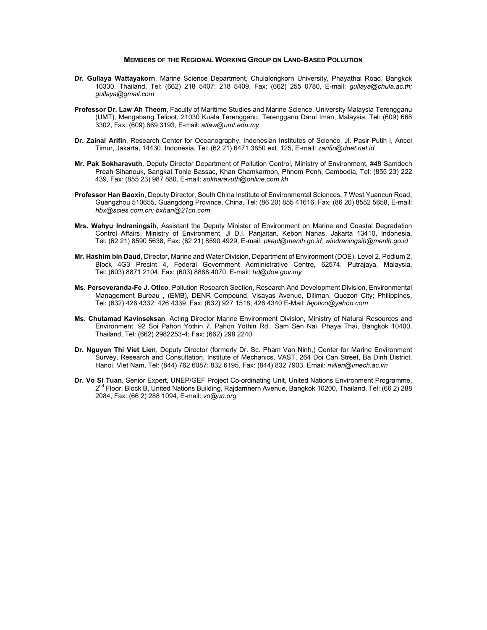# **MEMBERS OF THE REGIONAL WORKING GROUP ON LAND-BASED POLLUTION**

- **Dr. Gullaya Wattayakorn**, Marine Science Department, Chulalongkorn University, Phayathai Road, Bangkok 10330, Thailand, Tel: (662) 218 5407; 218 5409, Fax: (662) 255 0780, E-mail: *gullaya@chula.ac.th; gullaya@gmail.com*
- **Professor Dr. Law Ah Theem**, Faculty of Maritime Studies and Marine Science, University Malaysia Terengganu (UMT), Mengabang Telipot, 21030 Kuala Terengganu, Terengganu Darul Iman, Malaysia, Tel: (609) 668 3302, Fax: (609) 669 3193, E-mail: *atlaw@umt.edu.my*
- **Dr. Zainal Arifin**, Research Center for Oceanography, Indonesian Institutes of Science, Jl. Pasir Putih l, Ancol Timur, Jakarta, 14430, Indonesia, Tel: (62 21) 6471 3850 ext. 125, E-mail: *zarifin@dnet.net.id*
- **Mr. Pak Sokharavuth**, Deputy Director Department of Pollution Control, Ministry of Environment, #48 Samdech Preah Sihanouk, Sangkat Tonle Bassac, Khan Chamkarmon, Phnom Penh, Cambodia, Tel: (855 23) 222 439, Fax: (855 23) 987 880, E-mail: *sokharavuth@online.com.kh*
- **Professor Han Baoxin**, Deputy Director, South China Institute of Environmental Sciences, 7 West Yuancun Road, Guangzhou 510655, Guangdong Province, China, Tel: (86 20) 855 41616, Fax: (86 20) 8552 5658, E-mail: *hbx@scies.com.cn; bxhan@21cn.com*
- **Mrs. Wahyu Indraningsih**, Assistant the Deputy Minister of Environment on Marine and Coastal Degradation Control Affairs, Ministry of Environment, Jl D.I. Panjaitan, Kebon Nanas, Jakarta 13410, Indonesia, Tel: (62 21) 8590 5638, Fax: (62 21) 8590 4929, E-mail: *pkepl@menlh.go.id; windraningsih@menlh.go.id*
- **Mr. Hashim bin Daud**, Director, Marine and Water Division, Department of Environment (DOE), Level 2, Podium 2, Block 4G3 Precint 4, Federal Government Administrative Centre, 62574, Putrajaya, Malaysia, Tel: (603) 8871 2104, Fax: (603) 8888 4070, E-mail: *hd@doe.gov.my*
- **Ms. Perseveranda-Fe J. Otico**, Pollution Research Section, Research And Development Division, Environmental Management Bureau , (EMB), DENR Compound, Visayas Avenue, Diliman, Quezon City; Philippines, Tel: (632) 426 4332; 426 4339, Fax: (632) 927 1518; 426 4340 E-Mail: *fejotico@yahoo.com*
- **Ms. Chutamad Kavinseksan**, Acting Director Marine Environment Division, Ministry of Natural Resources and Environment, 92 Soi Pahon Yothin 7, Pahon Yothin Rd., Sam Sen Nai, Phaya Thai, Bangkok 10400, Thailand, Tel: (662) 2982253-4; Fax: (662) 298 2240
- **Dr. Nguyen Thi Viet Lien**, Deputy Director (formerly Dr. Sc. Pham Van Ninh,) Center for Marine Environment Survey, Research and Consultation, Institute of Mechanics, VAST, 264 Doi Can Street, Ba Dinh District, Hanoi, Viet Nam, Tel: (844) 762 6087; 832 6195, Fax: (844) 832 7903, Email: *nvlien@imech.ac.vn*
- **Dr. Vo Si Tuan**, Senior Expert, UNEP/GEF Project Co-ordinating Unit, United Nations Environment Programme, 2<sup>nd</sup> Floor, Block B, United Nations Building, Rajdamnern Avenue, Bangkok 10200, Thailand, Tel: (66 2) 288 2084, Fax: (66 2) 288 1094, E-mail: *vo@un.org*